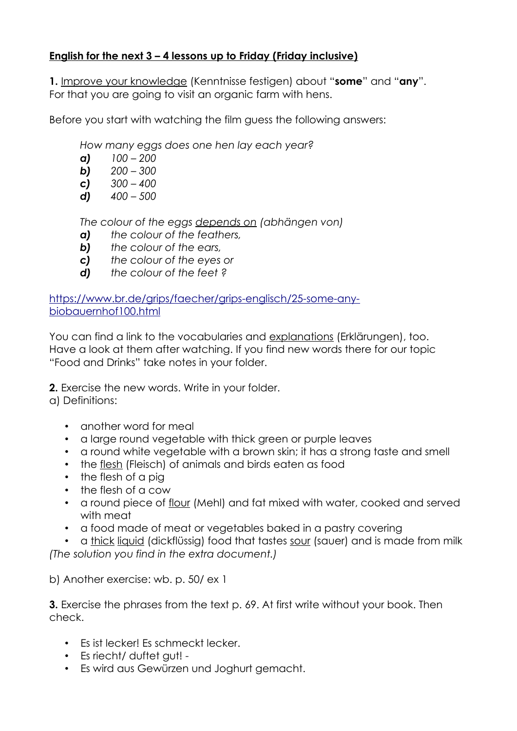## **English for the next 3 – 4 lessons up to Friday (Friday inclusive)**

**1.** Improve your knowledge (Kenntnisse festigen) about "**some**" and "**any**". For that you are going to visit an organic farm with hens.

Before you start with watching the film guess the following answers:

*How many eggs does one hen lay each year?*

- *a) 100 200*
- *b) 200 300*
- *c) 300 400*
- *d) 400 500*

*The colour of the eggs depends on (abhängen von)* 

- *a) the colour of the feathers,*
- *b) the colour of the ears,*
- *c) the colour of the eyes or*
- *d) the colour of the feet ?*

[https://www.br.de/grips/faecher/grips-englisch/25-some-any](https://www.br.de/grips/faecher/grips-englisch/25-some-any-biobauernhof100.html)[biobauernhof100.html](https://www.br.de/grips/faecher/grips-englisch/25-some-any-biobauernhof100.html)

You can find a link to the vocabularies and explanations (Erklärungen), too. Have a look at them after watching. If you find new words there for our topic "Food and Drinks" take notes in your folder.

**2.** Exercise the new words. Write in your folder.

a) Definitions:

- another word for meal
- a large round vegetable with thick green or purple leaves
- a round white vegetable with a brown skin; it has a strong taste and smell
- the flesh (Fleisch) of animals and birds eaten as food
- the flesh of a pig
- the flesh of a cow
- a round piece of flour (Mehl) and fat mixed with water, cooked and served with meat
- a food made of meat or vegetables baked in a pastry covering

a thick liquid (dickflüssig) food that tastes sour (sauer) and is made from milk

*(The solution you find in the extra document.)*

b) Another exercise: wb. p. 50/ ex 1

**3.** Exercise the phrases from the text p. 69. At first write without your book. Then check.

- Es ist lecker! Es schmeckt lecker.
- Es riecht/ duftet aut! -
- Es wird aus Gewürzen und Joghurt gemacht.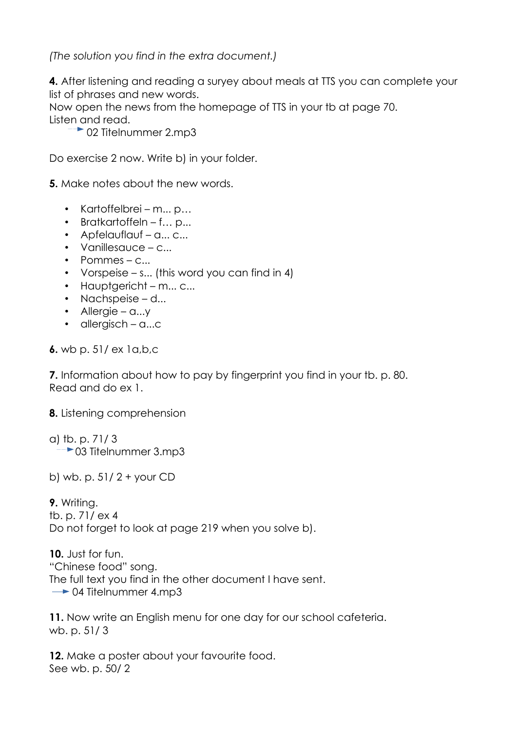*(The solution you find in the extra document.)*

**4.** After listening and reading a suryey about meals at TTS you can complete your list of phrases and new words.

Now open the news from the homepage of TTS in your tb at page 70. Listen and read.

 $\rightarrow$  02 Titelnummer 2.mp3

Do exercise 2 now. Write b) in your folder.

**5.** Make notes about the new words.

- Kartoffelbrei m... p…
- Bratkartoffeln f... p...
- Apfelauflauf a... c...
- Vanillesauce c...
- Pommes c...
- Vorspeise s... (this word you can find in 4)
- Hauptgericht m... c...
- Nachspeise d...
- Allergie a...y
- allergisch a...c

**6.** wb p. 51/ ex 1a,b,c

**7.** Information about how to pay by fingerprint you find in your tb. p. 80. Read and do ex 1.

**8.** Listening comprehension

a) tb. p. 71/ 3  $\rightarrow$  03 Titelnummer 3.mp3

b) wb. p. 51/ 2 + your CD

**9.** Writing. tb. p. 71/ ex 4 Do not forget to look at page 219 when you solve b).

**10.** Just for fun. "Chinese food" song. The full text you find in the other document I have sent.  $\rightarrow$  04 Titelnummer 4.mp3

**11.** Now write an English menu for one day for our school cafeteria. wb. p. 51/ 3

**12.** Make a poster about your favourite food. See wb. p. 50/ 2